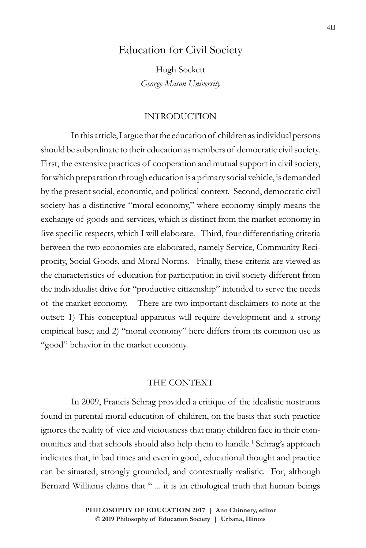## Education for Civil Society

Hugh Sockett *George Mason University*

## INTRODUCTION

In this article, I argue that the education of children as individual persons should be subordinate to their education as members of democratic civil society. First, the extensive practices of cooperation and mutual support in civil society, for which preparation through education is a primary social vehicle, is demanded by the present social, economic, and political context. Second, democratic civil society has a distinctive "moral economy," where economy simply means the exchange of goods and services, which is distinct from the market economy in five specific respects, which I will elaborate. Third, four differentiating criteria between the two economies are elaborated, namely Service, Community Reciprocity, Social Goods, and Moral Norms. Finally, these criteria are viewed as the characteristics of education for participation in civil society different from the individualist drive for "productive citizenship" intended to serve the needs of the market economy. There are two important disclaimers to note at the outset: 1) This conceptual apparatus will require development and a strong empirical base; and 2) "moral economy" here differs from its common use as "good" behavior in the market economy.

### THE CONTEXT

In 2009, Francis Schrag provided a critique of the idealistic nostrums found in parental moral education of children, on the basis that such practice ignores the reality of vice and viciousness that many children face in their communities and that schools should also help them to handle.<sup>1</sup> Schrag's approach indicates that, in bad times and even in good, educational thought and practice can be situated, strongly grounded, and contextually realistic. For, although Bernard Williams claims that " ... it is an ethological truth that human beings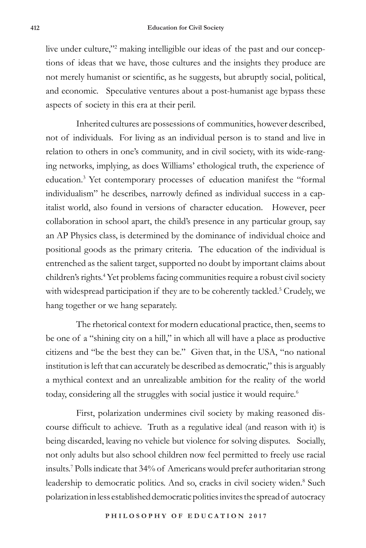live under culture,"2 making intelligible our ideas of the past and our conceptions of ideas that we have, those cultures and the insights they produce are not merely humanist or scientific, as he suggests, but abruptly social, political, and economic. Speculative ventures about a post-humanist age bypass these aspects of society in this era at their peril.

Inherited cultures are possessions of communities, however described, not of individuals. For living as an individual person is to stand and live in relation to others in one's community, and in civil society, with its wide-ranging networks, implying, as does Williams' ethological truth, the experience of education.3 Yet contemporary processes of education manifest the "formal individualism" he describes, narrowly defined as individual success in a capitalist world, also found in versions of character education. However, peer collaboration in school apart, the child's presence in any particular group, say an AP Physics class, is determined by the dominance of individual choice and positional goods as the primary criteria. The education of the individual is entrenched as the salient target, supported no doubt by important claims about children's rights.4 Yet problems facing communities require a robust civil society with widespread participation if they are to be coherently tackled.<sup>5</sup> Crudely, we hang together or we hang separately.

The rhetorical context for modern educational practice, then, seems to be one of a "shining city on a hill," in which all will have a place as productive citizens and "be the best they can be." Given that, in the USA, "no national institution is left that can accurately be described as democratic," this is arguably a mythical context and an unrealizable ambition for the reality of the world today, considering all the struggles with social justice it would require.<sup>6</sup>

First, polarization undermines civil society by making reasoned discourse difficult to achieve. Truth as a regulative ideal (and reason with it) is being discarded, leaving no vehicle but violence for solving disputes. Socially, not only adults but also school children now feel permitted to freely use racial insults.7 Polls indicate that 34% of Americans would prefer authoritarian strong leadership to democratic politics. And so, cracks in civil society widen.<sup>8</sup> Such polarization in less established democratic polities invites the spread of autocracy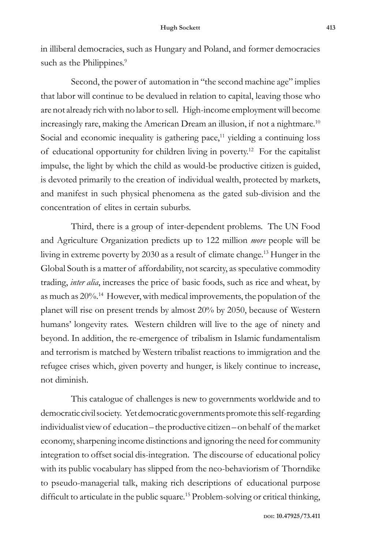in illiberal democracies, such as Hungary and Poland, and former democracies such as the Philippines.<sup>9</sup>

Second, the power of automation in "the second machine age" implies that labor will continue to be devalued in relation to capital, leaving those who are not already rich with no labor to sell. High-income employment will become increasingly rare, making the American Dream an illusion, if not a nightmare.<sup>10</sup> Social and economic inequality is gathering pace, $11$  yielding a continuing loss of educational opportunity for children living in poverty.12 For the capitalist impulse, the light by which the child as would-be productive citizen is guided, is devoted primarily to the creation of individual wealth, protected by markets, and manifest in such physical phenomena as the gated sub-division and the concentration of elites in certain suburbs.

Third, there is a group of inter-dependent problems. The UN Food and Agriculture Organization predicts up to 122 million *more* people will be living in extreme poverty by 2030 as a result of climate change.13 Hunger in the Global South is a matter of affordability, not scarcity, as speculative commodity trading, *inter alia*, increases the price of basic foods, such as rice and wheat, by as much as 20%.14 However, with medical improvements, the population of the planet will rise on present trends by almost 20% by 2050, because of Western humans' longevity rates. Western children will live to the age of ninety and beyond. In addition, the re-emergence of tribalism in Islamic fundamentalism and terrorism is matched by Western tribalist reactions to immigration and the refugee crises which, given poverty and hunger, is likely continue to increase, not diminish.

This catalogue of challenges is new to governments worldwide and to democratic civil society. Yet democratic governments promote this self-regarding individualist view of education – the productive citizen – on behalf of the market economy, sharpening income distinctions and ignoring the need for community integration to offset social dis-integration. The discourse of educational policy with its public vocabulary has slipped from the neo-behaviorism of Thorndike to pseudo-managerial talk, making rich descriptions of educational purpose difficult to articulate in the public square.<sup>15</sup> Problem-solving or critical thinking,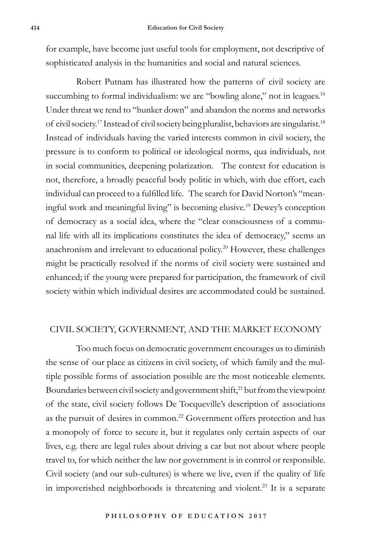for example, have become just useful tools for employment, not descriptive of sophisticated analysis in the humanities and social and natural sciences.

Robert Putnam has illustrated how the patterns of civil society are succumbing to formal individualism: we are "bowling alone," not in leagues.<sup>16</sup> Under threat we tend to "hunker down" and abandon the norms and networks of civil society.17 Instead of civil society being pluralist, behaviors are singularist.18 Instead of individuals having the varied interests common in civil society, the pressure is to conform to political or ideological norms, qua individuals, not in social communities, deepening polarization. The context for education is not, therefore, a broadly peaceful body politic in which, with due effort, each individual can proceed to a fulfilled life. The search for David Norton's "meaningful work and meaningful living" is becoming elusive.19 Dewey's conception of democracy as a social idea, where the "clear consciousness of a communal life with all its implications constitutes the idea of democracy," seems an anachronism and irrelevant to educational policy.20 However, these challenges might be practically resolved if the norms of civil society were sustained and enhanced; if the young were prepared for participation, the framework of civil society within which individual desires are accommodated could be sustained.

#### CIVIL SOCIETY, GOVERNMENT, AND THE MARKET ECONOMY

Too much focus on democratic government encourages us to diminish the sense of our place as citizens in civil society, of which family and the multiple possible forms of association possible are the most noticeable elements. Boundaries between civil society and government shift,<sup>21</sup> but from the viewpoint of the state, civil society follows De Tocqueville's description of associations as the pursuit of desires in common.<sup>22</sup> Government offers protection and has a monopoly of force to secure it, but it regulates only certain aspects of our lives, e.g. there are legal rules about driving a car but not about where people travel to, for which neither the law nor government is in control or responsible. Civil society (and our sub-cultures) is where we live, even if the quality of life in impoverished neighborhoods is threatening and violent.23 It is a separate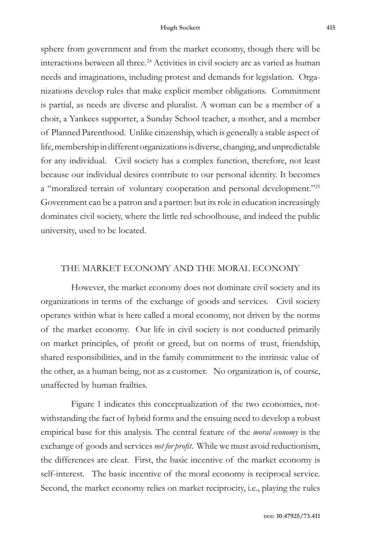sphere from government and from the market economy, though there will be interactions between all three.<sup>24</sup> Activities in civil society are as varied as human needs and imaginations, including protest and demands for legislation. Organizations develop rules that make explicit member obligations. Commitment is partial, as needs are diverse and pluralist. A woman can be a member of a choir, a Yankees supporter, a Sunday School teacher, a mother, and a member of Planned Parenthood. Unlike citizenship, which is generally a stable aspect of life, membership in different organizations is diverse, changing, and unpredictable for any individual. Civil society has a complex function, therefore, not least because our individual desires contribute to our personal identity. It becomes a "moralized terrain of voluntary cooperation and personal development."25 Government can be a patron and a partner: but its role in education increasingly dominates civil society, where the little red schoolhouse, and indeed the public university, used to be located.

## THE MARKET ECONOMY AND THE MORAL ECONOMY

However, the market economy does not dominate civil society and its organizations in terms of the exchange of goods and services. Civil society operates within what is here called a moral economy, not driven by the norms of the market economy. Our life in civil society is not conducted primarily on market principles, of profit or greed, but on norms of trust, friendship, shared responsibilities, and in the family commitment to the intrinsic value of the other, as a human being, not as a customer. No organization is, of course, unaffected by human frailties.

Figure 1 indicates this conceptualization of the two economies, notwithstanding the fact of hybrid forms and the ensuing need to develop a robust empirical base for this analysis. The central feature of the *moral economy* is the exchange of goods and services *not for profit*. While we must avoid reductionism, the differences are clear. First, the basic incentive of the market economy is self-interest. The basic incentive of the moral economy is reciprocal service. Second, the market economy relies on market reciprocity, i.e., playing the rules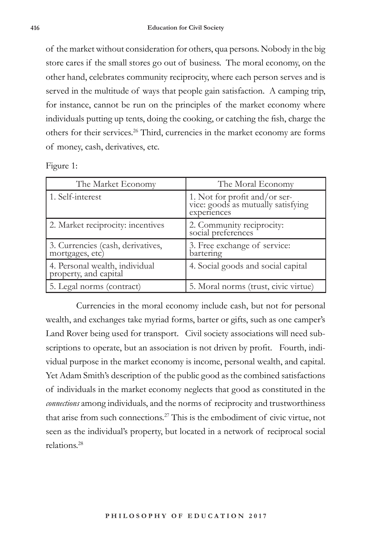of the market without consideration for others, qua persons. Nobody in the big store cares if the small stores go out of business. The moral economy, on the other hand, celebrates community reciprocity, where each person serves and is served in the multitude of ways that people gain satisfaction. A camping trip, for instance, cannot be run on the principles of the market economy where individuals putting up tents, doing the cooking, or catching the fish, charge the others for their services.26 Third, currencies in the market economy are forms of money, cash, derivatives, etc.

Figure 1:

| The Market Economy                                      | The Moral Economy                                                             |
|---------------------------------------------------------|-------------------------------------------------------------------------------|
| 1. Self-interest                                        | 1. Not for profit and/or service: goods as mutually satisfying<br>experiences |
| 2. Market reciprocity: incentives                       | 2. Community reciprocity:<br>social preferences                               |
| 3. Currencies (cash, derivatives, mortgages, etc)       | 3. Free exchange of service:<br>bartering                                     |
| 4. Personal wealth, individual<br>property, and capital | 4. Social goods and social capital                                            |
| 5. Legal norms (contract)                               | 5. Moral norms (trust, civic virtue)                                          |

Currencies in the moral economy include cash, but not for personal wealth, and exchanges take myriad forms, barter or gifts, such as one camper's Land Rover being used for transport. Civil society associations will need subscriptions to operate, but an association is not driven by profit. Fourth, individual purpose in the market economy is income, personal wealth, and capital. Yet Adam Smith's description of the public good as the combined satisfactions of individuals in the market economy neglects that good as constituted in the *connections* among individuals, and the norms of reciprocity and trustworthiness that arise from such connections.27 This is the embodiment of civic virtue, not seen as the individual's property, but located in a network of reciprocal social relations.28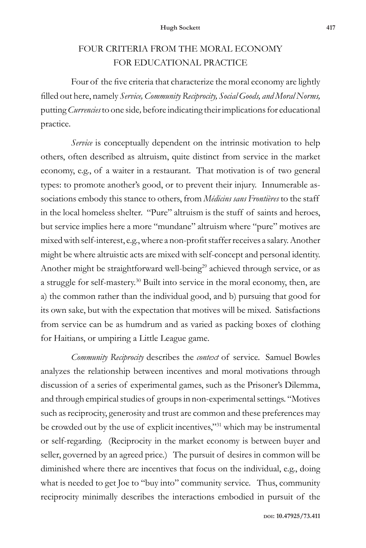# FOUR CRITERIA FROM THE MORAL ECONOMY FOR EDUCATIONAL PRACTICE

Four of the five criteria that characterize the moral economy are lightly filled out here, namely *Service, Community Reciprocity, Social Goods, and Moral Norms,*  putting *Currencies* to one side*,* before indicating their implications for educational practice*.* 

*Service* is conceptually dependent on the intrinsic motivation to help others, often described as altruism, quite distinct from service in the market economy, e.g., of a waiter in a restaurant. That motivation is of two general types: to promote another's good, or to prevent their injury. Innumerable associations embody this stance to others, from *Médicins sans Frontières* to the staff in the local homeless shelter. "Pure" altruism is the stuff of saints and heroes, but service implies here a more "mundane" altruism where "pure" motives are mixed with self-interest, e.g., where a non-profit staffer receives a salary. Another might be where altruistic acts are mixed with self-concept and personal identity. Another might be straightforward well-being<sup>29</sup> achieved through service, or as a struggle for self-mastery.30 Built into service in the moral economy, then, are a) the common rather than the individual good, and b) pursuing that good for its own sake, but with the expectation that motives will be mixed. Satisfactions from service can be as humdrum and as varied as packing boxes of clothing for Haitians, or umpiring a Little League game.

*Community Reciprocity* describes the *context* of service. Samuel Bowles analyzes the relationship between incentives and moral motivations through discussion of a series of experimental games, such as the Prisoner's Dilemma, and through empirical studies of groups in non-experimental settings. "Motives such as reciprocity, generosity and trust are common and these preferences may be crowded out by the use of explicit incentives,"31 which may be instrumental or self-regarding. (Reciprocity in the market economy is between buyer and seller, governed by an agreed price.) The pursuit of desires in common will be diminished where there are incentives that focus on the individual, e.g., doing what is needed to get Joe to "buy into" community service. Thus, community reciprocity minimally describes the interactions embodied in pursuit of the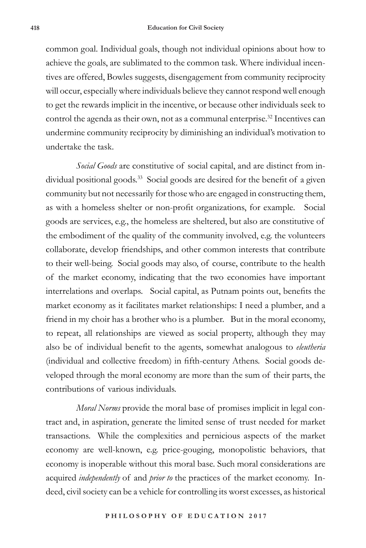common goal. Individual goals, though not individual opinions about how to achieve the goals, are sublimated to the common task. Where individual incentives are offered, Bowles suggests, disengagement from community reciprocity will occur, especially where individuals believe they cannot respond well enough to get the rewards implicit in the incentive, or because other individuals seek to control the agenda as their own, not as a communal enterprise.<sup>32</sup> Incentives can undermine community reciprocity by diminishing an individual's motivation to undertake the task.

*Social Goods* are constitutive of social capital, and are distinct from individual positional goods.<sup>33</sup> Social goods are desired for the benefit of a given community but not necessarily for those who are engaged in constructing them, as with a homeless shelter or non-profit organizations, for example. Social goods are services, e.g., the homeless are sheltered, but also are constitutive of the embodiment of the quality of the community involved, e.g. the volunteers collaborate, develop friendships, and other common interests that contribute to their well-being. Social goods may also, of course, contribute to the health of the market economy, indicating that the two economies have important interrelations and overlaps. Social capital, as Putnam points out, benefits the market economy as it facilitates market relationships: I need a plumber, and a friend in my choir has a brother who is a plumber. But in the moral economy, to repeat, all relationships are viewed as social property, although they may also be of individual benefit to the agents, somewhat analogous to *eleutheria* (individual and collective freedom) in fifth-century Athens. Social goods developed through the moral economy are more than the sum of their parts, the contributions of various individuals.

*Moral Norms* provide the moral base of promises implicit in legal contract and, in aspiration, generate the limited sense of trust needed for market transactions.While the complexities and pernicious aspects of the market economy are well-known, e.g. price-gouging, monopolistic behaviors, that economy is inoperable without this moral base. Such moral considerations are acquired *independently* of and *prior to* the practices of the market economy. Indeed, civil society can be a vehicle for controlling its worst excesses, as historical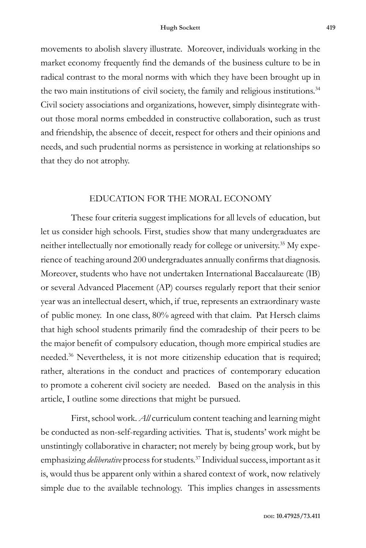movements to abolish slavery illustrate. Moreover, individuals working in the market economy frequently find the demands of the business culture to be in radical contrast to the moral norms with which they have been brought up in the two main institutions of civil society, the family and religious institutions.<sup>34</sup> Civil society associations and organizations, however, simply disintegrate without those moral norms embedded in constructive collaboration, such as trust and friendship, the absence of deceit, respect for others and their opinions and needs, and such prudential norms as persistence in working at relationships so that they do not atrophy.

#### EDUCATION FOR THE MORAL ECONOMY

These four criteria suggest implications for all levels of education, but let us consider high schools. First, studies show that many undergraduates are neither intellectually nor emotionally ready for college or university.<sup>35</sup> My experience of teaching around 200 undergraduates annually confirms that diagnosis. Moreover, students who have not undertaken International Baccalaureate (IB) or several Advanced Placement (AP) courses regularly report that their senior year was an intellectual desert, which, if true, represents an extraordinary waste of public money. In one class, 80% agreed with that claim. Pat Hersch claims that high school students primarily find the comradeship of their peers to be the major benefit of compulsory education, though more empirical studies are needed.36 Nevertheless, it is not more citizenship education that is required; rather, alterations in the conduct and practices of contemporary education to promote a coherent civil society are needed. Based on the analysis in this article, I outline some directions that might be pursued.

First, school work. *All* curriculum content teaching and learning might be conducted as non-self-regarding activities. That is, students' work might be unstintingly collaborative in character; not merely by being group work, but by emphasizing *deliberative* process for students.37 Individual success, important as it is, would thus be apparent only within a shared context of work, now relatively simple due to the available technology. This implies changes in assessments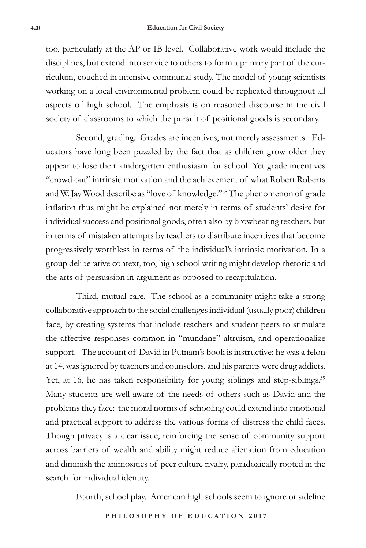too, particularly at the AP or IB level. Collaborative work would include the disciplines, but extend into service to others to form a primary part of the curriculum, couched in intensive communal study. The model of young scientists working on a local environmental problem could be replicated throughout all aspects of high school. The emphasis is on reasoned discourse in the civil society of classrooms to which the pursuit of positional goods is secondary.

Second, grading. Grades are incentives, not merely assessments*.* Educators have long been puzzled by the fact that as children grow older they appear to lose their kindergarten enthusiasm for school. Yet grade incentives "crowd out" intrinsic motivation and the achievement of what Robert Roberts and W. Jay Wood describe as "love of knowledge."38 The phenomenon of grade inflation thus might be explained not merely in terms of students' desire for individual success and positional goods, often also by browbeating teachers, but in terms of mistaken attempts by teachers to distribute incentives that become progressively worthless in terms of the individual's intrinsic motivation. In a group deliberative context, too, high school writing might develop rhetoric and the arts of persuasion in argument as opposed to recapitulation.

Third, mutual care. The school as a community might take a strong collaborative approach to the social challenges individual (usually poor) children face, by creating systems that include teachers and student peers to stimulate the affective responses common in "mundane" altruism, and operationalize support. The account of David in Putnam's book is instructive: he was a felon at 14, was ignored by teachers and counselors, and his parents were drug addicts. Yet, at 16, he has taken responsibility for young siblings and step-siblings.<sup>39</sup> Many students are well aware of the needs of others such as David and the problems they face: the moral norms of schooling could extend into emotional and practical support to address the various forms of distress the child faces. Though privacy is a clear issue, reinforcing the sense of community support across barriers of wealth and ability might reduce alienation from education and diminish the animosities of peer culture rivalry, paradoxically rooted in the search for individual identity.

Fourth, school play. American high schools seem to ignore or sideline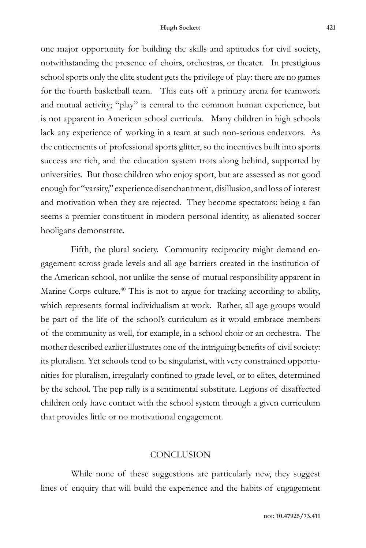one major opportunity for building the skills and aptitudes for civil society, notwithstanding the presence of choirs, orchestras, or theater. In prestigious school sports only the elite student gets the privilege of play: there are no games for the fourth basketball team. This cuts off a primary arena for teamwork and mutual activity; "play" is central to the common human experience, but is not apparent in American school curricula. Many children in high schools lack any experience of working in a team at such non-serious endeavors. As the enticements of professional sports glitter, so the incentives built into sports success are rich, and the education system trots along behind, supported by universities. But those children who enjoy sport, but are assessed as not good enough for "varsity," experience disenchantment, disillusion, and loss of interest and motivation when they are rejected. They become spectators: being a fan seems a premier constituent in modern personal identity, as alienated soccer hooligans demonstrate.

Fifth, the plural society. Community reciprocity might demand engagement across grade levels and all age barriers created in the institution of the American school, not unlike the sense of mutual responsibility apparent in Marine Corps culture.<sup>40</sup> This is not to argue for tracking according to ability, which represents formal individualism at work. Rather, all age groups would be part of the life of the school's curriculum as it would embrace members of the community as well, for example, in a school choir or an orchestra. The mother described earlier illustrates one of the intriguing benefits of civil society: its pluralism. Yet schools tend to be singularist, with very constrained opportunities for pluralism, irregularly confined to grade level, or to elites, determined by the school. The pep rally is a sentimental substitute. Legions of disaffected children only have contact with the school system through a given curriculum that provides little or no motivational engagement.

#### **CONCLUSION**

While none of these suggestions are particularly new, they suggest lines of enquiry that will build the experience and the habits of engagement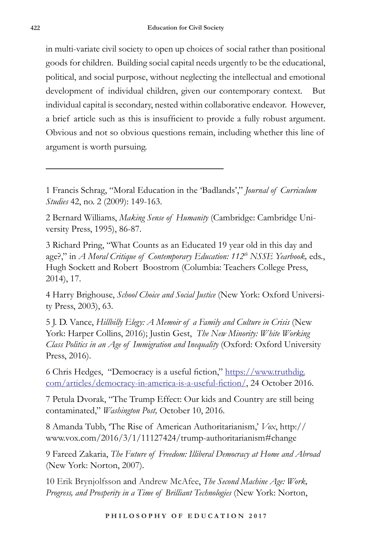in multi-variate civil society to open up choices of social rather than positional goods for children.Building social capital needs urgently to be the educational, political, and social purpose, without neglecting the intellectual and emotional development of individual children, given our contemporary context. But individual capital is secondary, nested within collaborative endeavor. However, a brief article such as this is insufficient to provide a fully robust argument. Obvious and not so obvious questions remain, including whether this line of argument is worth pursuing.

1 Francis Schrag, "Moral Education in the 'Badlands'," *Journal of Curriculum Studies* 42, no. 2 (2009): 149-163.

2 Bernard Williams, *Making Sense of Humanity* (Cambridge: Cambridge University Press, 1995), 86-87.

3 Richard Pring, "What Counts as an Educated 19 year old in this day and age?," in *A Moral Critique of Contemporary Education: 112<sup>th</sup> NSSE Yearbook, eds.,* Hugh Sockett and Robert Boostrom (Columbia: Teachers College Press, 2014), 17.

4 Harry Brighouse, *School Choice and Social Justice* (New York: Oxford University Press, 2003), 63.

5 J. D. Vance, *Hillbilly Elegy: A Memoir of a Family and Culture in Crisis* (New York: Harper Collins, 2016); Justin Gest, *The New Minority: White Working Class Politics in an Age of Immigration and Inequality* (Oxford: Oxford University Press, 2016).

6 Chris Hedges, "Democracy is a useful fiction," https://www.truthdig. com/articles/democracy-in-america-is-a-useful-fiction/, 24 October 2016.

7 Petula Dvorak, "The Trump Effect: Our kids and Country are still being contaminated," *Washington Post,* October 10, 2016.

8 Amanda Tubb, 'The Rise of American Authoritarianism,' *Vox*, http:// www.vox.com/2016/3/1/11127424/trump-authoritarianism#change

9 Fareed Zakaria, *The Future of Freedom: Illiberal Democracy at Home and Abroad* (New York: Norton, 2007).

10 Erik Brynjolfsson and Andrew McAfee, *The Second Machine Age: Work, Progress, and Prosperity in a Time of Brilliant Technologies* (New York: Norton,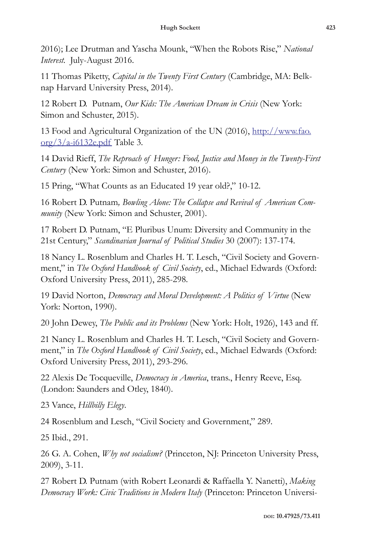2016); Lee Drutman and Yascha Mounk, "When the Robots Rise," *National Interest.* July-August 2016.

11 Thomas Piketty, *Capital in the Twenty First Century* (Cambridge, MA: Belknap Harvard University Press, 2014).

12 Robert D. Putnam, *Our Kids: The American Dream in Crisis* (New York: Simon and Schuster, 2015).

13 Food and Agricultural Organization of the UN (2016), http://www.fao.  $\frac{\text{org}}{3}/\text{a}-i6132$ e.pdf Table 3.

14 David Rieff, *The Reproach of Hunger: Food, Justice and Money in the Twenty-First Century* (New York: Simon and Schuster, 2016).

15 Pring, "What Counts as an Educated 19 year old?," 10-12.

16 Robert D. Putnam*, Bowling Alone: The Collapse and Revival of American Community* (New York: Simon and Schuster, 2001).

17 Robert D. Putnam, "E Pluribus Unum: Diversity and Community in the 21st Century," *Scandinavian Journal of Political Studies* 30 (2007): 137-174.

18 Nancy L. Rosenblum and Charles H. T. Lesch, "Civil Society and Government," in *The Oxford Handbook of Civil Society*, ed., Michael Edwards (Oxford: Oxford University Press, 2011), 285-298.

19 David Norton, *Democracy and Moral Development: A Politics of Virtue* (New York: Norton, 1990).

20 John Dewey, *The Public and its Problems* (New York: Holt, 1926), 143 and ff.

21 Nancy L. Rosenblum and Charles H. T. Lesch, "Civil Society and Government," in *The Oxford Handbook of Civil Society*, ed., Michael Edwards (Oxford: Oxford University Press, 2011), 293-296.

22 Alexis De Tocqueville, *Democracy in America*, trans., Henry Reeve, Esq. (London: Saunders and Otley, 1840).

23 Vance, *Hillbilly Elegy*.

24 Rosenblum and Lesch, "Civil Society and Government," 289.

25 Ibid., 291.

26 G. A. Cohen, *Why not socialism?* (Princeton, NJ: Princeton University Press, 2009), 3-11.

27 Robert D. Putnam (with Robert Leonardi & Raffaella Y. Nanetti), *Making Democracy Work: Civic Traditions in Modern Italy* (Princeton: Princeton Universi